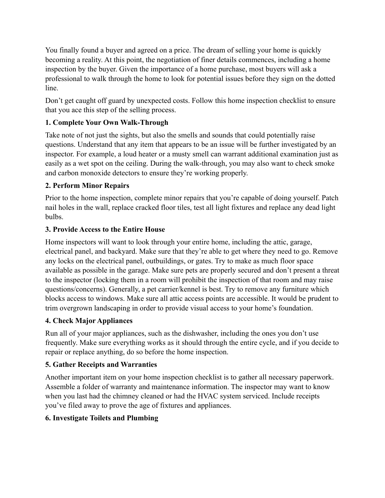You finally found a buyer and agreed on a price. The dream of selling your home is quickly becoming a reality. At this point, the negotiation of finer details commences, including a home inspection by the buyer. Given the importance of a home purchase, most buyers will ask a professional to walk through the home to look for potential issues before they sign on the dotted line.

Don't get caught off guard by unexpected costs. Follow this home inspection checklist to ensure that you ace this step of the selling process.

# **1. Complete Your Own Walk-Through**

Take note of not just the sights, but also the smells and sounds that could potentially raise questions. Understand that any item that appears to be an issue will be further investigated by an inspector. For example, a loud heater or a musty smell can warrant additional examination just as easily as a wet spot on the ceiling. During the walk-through, you may also want to check smoke and carbon monoxide detectors to ensure they're working properly.

# **2. Perform Minor Repairs**

Prior to the home inspection, complete minor repairs that you're capable of doing yourself. Patch nail holes in the wall, replace cracked floor tiles, test all light fixtures and replace any dead light bulbs.

# **3. Provide Access to the Entire House**

Home inspectors will want to look through your entire home, including the attic, garage, electrical panel, and backyard. Make sure that they're able to get where they need to go. Remove any locks on the electrical panel, outbuildings, or gates. Try to make as much floor space available as possible in the garage. Make sure pets are properly secured and don't present a threat to the inspector (locking them in a room will prohibit the inspection of that room and may raise questions/concerns). Generally, a pet carrier/kennel is best. Try to remove any furniture which blocks access to windows. Make sure all attic access points are accessible. It would be prudent to trim overgrown landscaping in order to provide visual access to your home's foundation.

# **4. Check Major Appliances**

Run all of your major appliances, such as the dishwasher, including the ones you don't use frequently. Make sure everything works as it should through the entire cycle, and if you decide to repair or replace anything, do so before the home inspection.

# **5. Gather Receipts and Warranties**

Another important item on your home inspection checklist is to gather all necessary paperwork. Assemble a folder of warranty and maintenance information. The inspector may want to know when you last had the chimney cleaned or had the HVAC system serviced. Include receipts you've filed away to prove the age of fixtures and appliances.

# **6. Investigate Toilets and Plumbing**